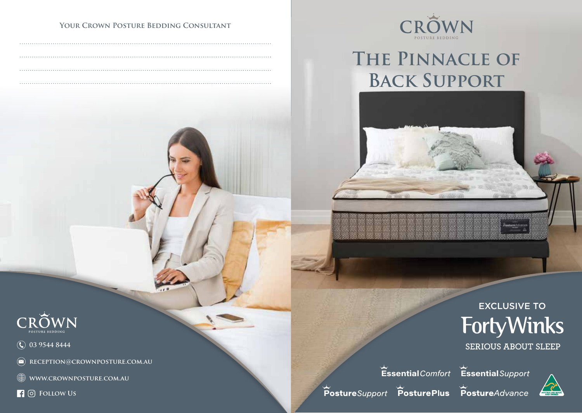#### YOUR CROWN POSTURE BEDDING CONSULTANT



## **The Pinnacle of Back Support**



 **03 9544 8444**

 **reception**@**crownposture.com.au**

 **www.crownposture.com.au**

**f**  $\odot$  Follow Us



### EXCLUSIVE TO **FortyWinks SERIOUS ABOUT SLEEP**



PostureSupport PosturePlus PostureAdvance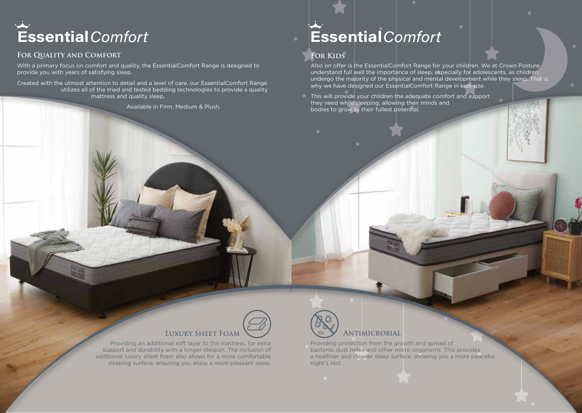#### **For Quality and Comfort**

With a primary focus on comfort and quality, the EssentialComfort Range is designed to provide you with years of satisfying sleep.

Created with the utmost attention to detail and a level of care, our EssentialComfort Range utilizes all of the tried and tested bedding technologies to provide a quality mattress and quality sleep.

Available in Firm, Medium & Plush.

## **Essential** *Comfort* **Essential** *Essential Comfort*

#### **For Kids**

Also on offer is the EssentialComfort Range for your children. We at Crown Posture understand full well the importance of sleep, especially for adolescents, as children undergo the majority of the physical and mental development while they sleep. That is why we have designed our EssentialComfort Range in kids size.

This will provide your children the adequate comfort and support they need while sleeping, allowing their minds and bodies to grow to their fullest potential.

### **Luxury Sheet Foam**

Providing an additional soft layer to the mattress, for extra support and durability with a longer lifespan. The inclusion of additional luxury sheet foam also allows for a more comfortable sleeping surface, ensuring you enjoy a more pleasant sleep.



#### **Antimicrobial**

Providing protection from the growth and spread of bacteria, dust mites and other micro-organisms. This provides a healthier and cleaner sleep surface, allowing you a more peaceful night's rest.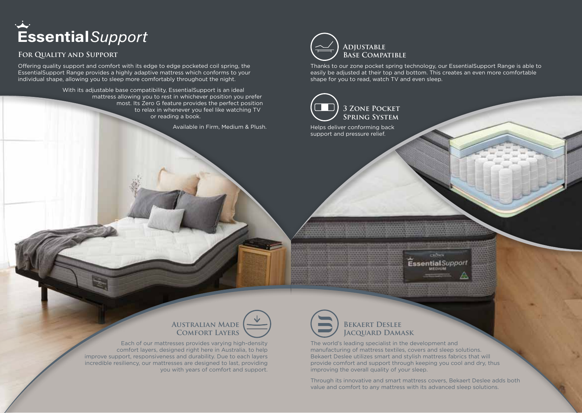# **Essential***Support*

#### **For Quality and Support**

Offering quality support and comfort with its edge to edge pocketed coil spring, the EssentialSupport Range provides a highly adaptive mattress which conforms to your individual shape, allowing you to sleep more comfortably throughout the night.

> With its adjustable base compatibility, EssentialSupport is an ideal mattress allowing you to rest in whichever position you prefer most. Its Zero G feature provides the perfect position to relax in whenever you feel like watching TV or reading a book.

> > Available in Firm, Medium & Plush.



Thanks to our zone pocket spring technology, our EssentialSupport Range is able to easily be adjusted at their top and bottom. This creates an even more comfortable shape for you to read, watch TV and even sleep.



Helps deliver conforming back support and pressure relief.

> radius **EssentialSupport**



 Each of our mattresses provides varying high-density comfort layers, designed right here in Australia, to help improve support, responsiveness and durability. Due to each layers incredible resiliency, our mattresses are designed to last, providing you with years of comfort and support.



#### **Bekaert Deslee Jacquard Damask**

The world's leading specialist in the development and manufacturing of mattress textiles, covers and sleep solutions. Bekaert Deslee utilizes smart and stylish mattress fabrics that will provide comfort and support through keeping you cool and dry, thus improving the overall quality of your sleep.

Through its innovative and smart mattress covers, Bekaert Deslee adds both value and comfort to any mattress with its advanced sleep solutions.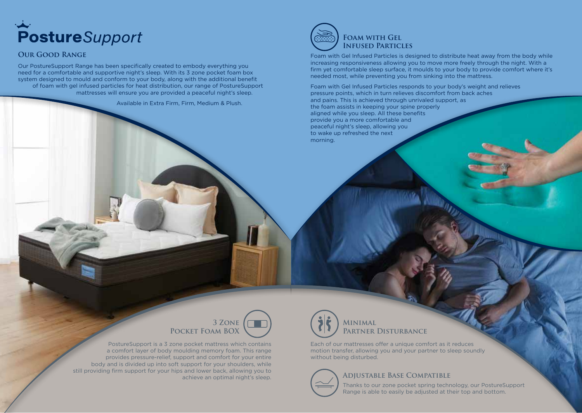# **Posture**Support

#### **Our Good Range**

Our PostureSupport Range has been specifically created to embody everything you need for a comfortable and supportive night's sleep. With its 3 zone pocket foam box system designed to mould and conform to your body, along with the additional benefit of foam with gel infused particles for heat distribution, our range of PostureSupport mattresses will ensure you are provided a peaceful night's sleep.

Available in Extra Firm, Firm, Medium & Plush.



Foam with Gel Infused Particles is designed to distribute heat away from the body while increasing responsiveness allowing you to move more freely through the night. With a firm yet comfortable sleep surface, it moulds to your body to provide comfort where it's needed most, while preventing you from sinking into the mattress.

Foam with Gel Infused Particles responds to your body's weight and relieves pressure points, which in turn relieves discomfort from back aches and pains. This is achieved through unrivaled support, as the foam assists in keeping your spine properly aligned while you sleep. All these benefits provide you a more comfortable and peaceful night's sleep, allowing you to wake up refreshed the next morning.



PostureSupport is a 3 zone pocket mattress which contains a comfort layer of body moulding memory foam. This range provides pressure-relief, support and comfort for your entire body and is divided up into soft support for your shoulders, while still providing firm support for your hips and lower back, allowing you to achieve an optimal night's sleep.



Each of our mattresses offer a unique comfort as it reduces

motion transfer, allowing you and your partner to sleep soundly without being disturbed.



#### **Adjustable Base Compatible**

Thanks to our zone pocket spring technology, our PostureSupport Range is able to easily be adjusted at their top and bottom.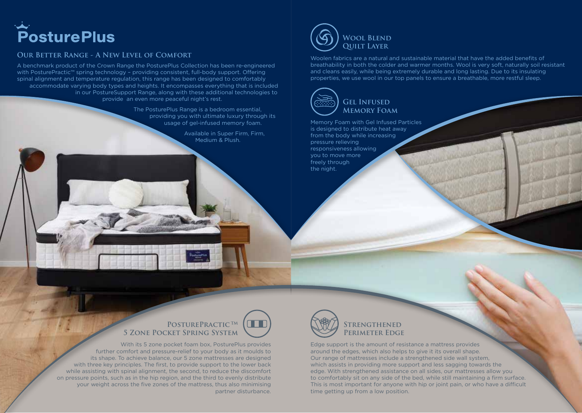

#### **Our Better Range - A New Level of Comfort**

A benchmark product of the Crown Range the PosturePlus Collection has been re-engineered with PosturePractic™ spring technology – providing consistent, full-body support. Offering spinal alignment and temperature regulation, this range has been designed to comfortably accommodate varying body types and heights. It encompasses everything that is included in our PostureSupport Range, along with these additional technologies to provide an even more peaceful night's rest.

> The PosturePlus Range is a bedroom essential, providing you with ultimate luxury through its usage of gel-infused memory foam.

> > Available in Super Firm, Firm, Medium & Plush.

> > > **ATT**



Woolen fabrics are a natural and sustainable material that have the added benefits of breathability in both the colder and warmer months. Wool is very soft, naturally soil resistant and cleans easily, while being extremely durable and long lasting. Due to its insulating properties, we use wool in our top panels to ensure a breathable, more restful sleep.



Memory Foam with Gel Infused Particles is designed to distribute heat away from the body while increasing pressure relieving responsiveness allowing you to move more freely through the night.

#### **PosturePractic TM 5 Zone Pocket Spring System**

With its 5 zone pocket foam box, PosturePlus provides further comfort and pressure-relief to your body as it moulds to its shape. To achieve balance, our 5 zone mattresses are designed with three key principles. The first, to provide support to the lower back while assisting with spinal alignment, the second, to reduce the discomfort on pressure points, such as in the hip region, and the third to evenly distribute your weight across the five zones of the mattress, thus also minimising partner disturbance.



#### **Strengthened Perimeter Edge**

Edge support is the amount of resistance a mattress provides around the edges, which also helps to give it its overall shape. Our range of mattresses include a strengthened side wall system, which assists in providing more support and less sagging towards the edge. With strengthened assistance on all sides, our mattresses allow you to comfortably sit on any side of the bed, while still maintaining a firm surface. This is most important for anyone with hip or joint pain, or who have a difficult time getting up from a low position.